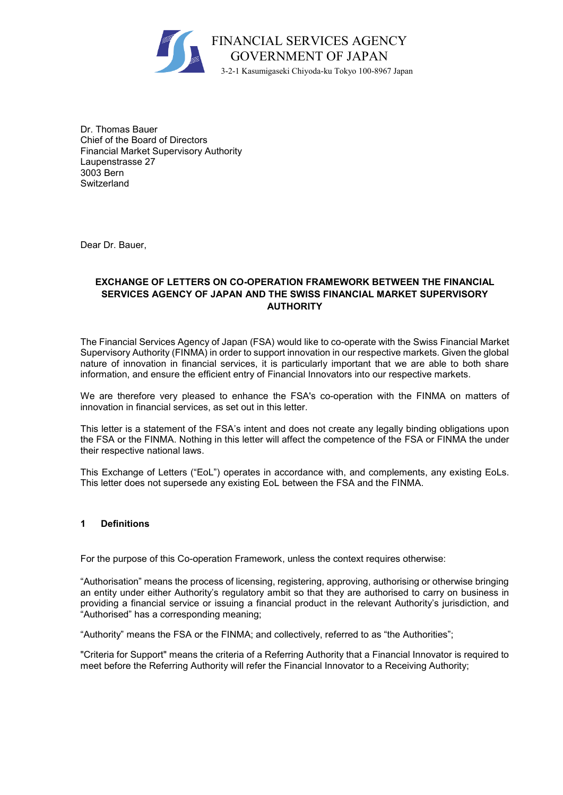

Dr. Thomas Bauer Chief of the Board of Directors Financial Market Supervisory Authority Laupenstrasse 27 3003 Bern **Switzerland** 

Dear Dr. Bauer,

# **EXCHANGE OF LETTERS ON CO-OPERATION FRAMEWORK BETWEEN THE FINANCIAL SERVICES AGENCY OF JAPAN AND THE SWISS FINANCIAL MARKET SUPERVISORY AUTHORITY**

The Financial Services Agency of Japan (FSA) would like to co-operate with the Swiss Financial Market Supervisory Authority (FINMA) in order to support innovation in our respective markets. Given the global nature of innovation in financial services, it is particularly important that we are able to both share information, and ensure the efficient entry of Financial Innovators into our respective markets.

We are therefore very pleased to enhance the FSA's co-operation with the FINMA on matters of innovation in financial services, as set out in this letter.

This letter is a statement of the FSA's intent and does not create any legally binding obligations upon the FSA or the FINMA. Nothing in this letter will affect the competence of the FSA or FINMA the under their respective national laws.

This Exchange of Letters ("EoL") operates in accordance with, and complements, any existing EoLs. This letter does not supersede any existing EoL between the FSA and the FINMA.

### **1 Definitions**

For the purpose of this Co-operation Framework, unless the context requires otherwise:

"Authorisation" means the process of licensing, registering, approving, authorising or otherwise bringing an entity under either Authority's regulatory ambit so that they are authorised to carry on business in providing a financial service or issuing a financial product in the relevant Authority's jurisdiction, and "Authorised" has a corresponding meaning;

"Authority" means the FSA or the FINMA; and collectively, referred to as "the Authorities";

"Criteria for Support" means the criteria of a Referring Authority that a Financial Innovator is required to meet before the Referring Authority will refer the Financial Innovator to a Receiving Authority;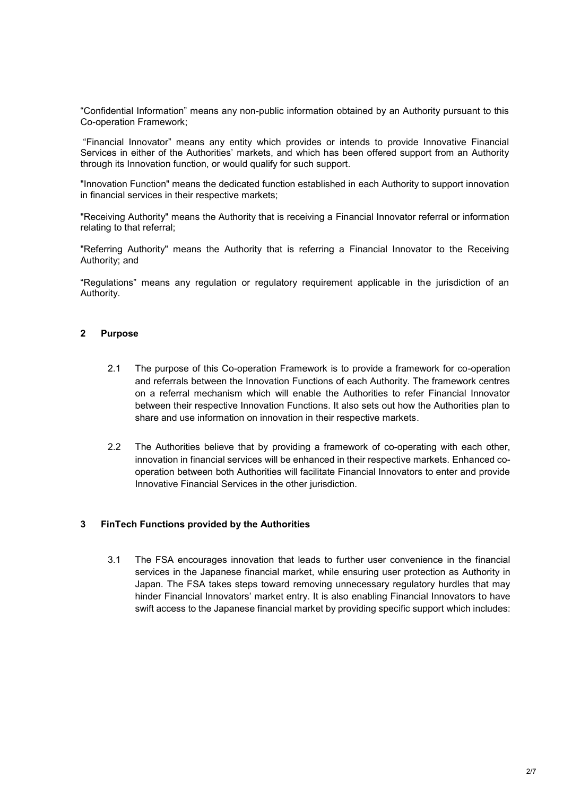"Confidential Information" means any non-public information obtained by an Authority pursuant to this Co-operation Framework;

"Financial Innovator" means any entity which provides or intends to provide Innovative Financial Services in either of the Authorities' markets, and which has been offered support from an Authority through its Innovation function, or would qualify for such support.

"Innovation Function" means the dedicated function established in each Authority to support innovation in financial services in their respective markets;

"Receiving Authority" means the Authority that is receiving a Financial Innovator referral or information relating to that referral;

"Referring Authority" means the Authority that is referring a Financial Innovator to the Receiving Authority; and

"Regulations" means any regulation or regulatory requirement applicable in the jurisdiction of an Authority.

#### **2 Purpose**

- 2.1 The purpose of this Co-operation Framework is to provide a framework for co-operation and referrals between the Innovation Functions of each Authority. The framework centres on a referral mechanism which will enable the Authorities to refer Financial Innovator between their respective Innovation Functions. It also sets out how the Authorities plan to share and use information on innovation in their respective markets.
- 2.2 The Authorities believe that by providing a framework of co-operating with each other, innovation in financial services will be enhanced in their respective markets. Enhanced cooperation between both Authorities will facilitate Financial Innovators to enter and provide Innovative Financial Services in the other jurisdiction.

#### **3 FinTech Functions provided by the Authorities**

3.1 The FSA encourages innovation that leads to further user convenience in the financial services in the Japanese financial market, while ensuring user protection as Authority in Japan. The FSA takes steps toward removing unnecessary regulatory hurdles that may hinder Financial Innovators' market entry. It is also enabling Financial Innovators to have swift access to the Japanese financial market by providing specific support which includes: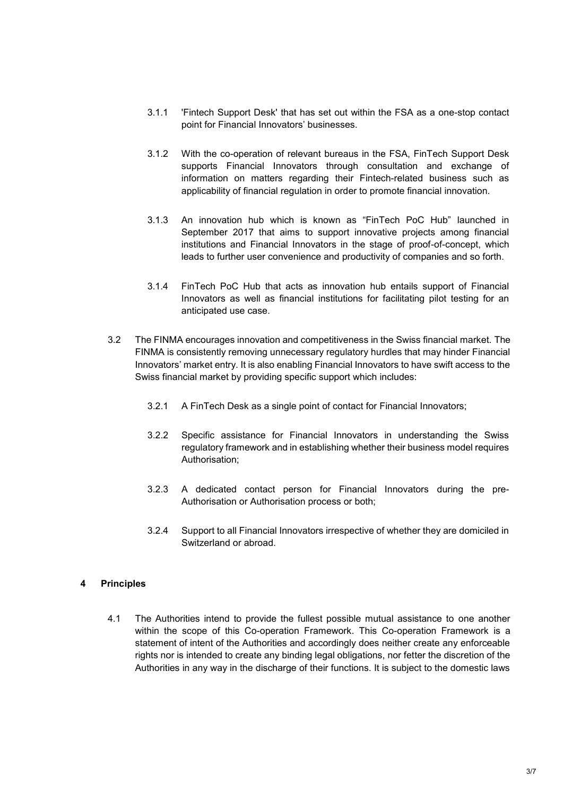- 3.1.1 'Fintech Support Desk' that has set out within the FSA as a one-stop contact point for Financial Innovators' businesses.
- 3.1.2 With the co-operation of relevant bureaus in the FSA, FinTech Support Desk supports Financial Innovators through consultation and exchange of information on matters regarding their Fintech-related business such as applicability of financial regulation in order to promote financial innovation.
- 3.1.3 An innovation hub which is known as "FinTech PoC Hub" launched in September 2017 that aims to support innovative projects among financial institutions and Financial Innovators in the stage of proof-of-concept, which leads to further user convenience and productivity of companies and so forth.
- 3.1.4 FinTech PoC Hub that acts as innovation hub entails support of Financial Innovators as well as financial institutions for facilitating pilot testing for an anticipated use case.
- 3.2 The FINMA encourages innovation and competitiveness in the Swiss financial market. The FINMA is consistently removing unnecessary regulatory hurdles that may hinder Financial Innovators' market entry. It is also enabling Financial Innovators to have swift access to the Swiss financial market by providing specific support which includes:
	- 3.2.1 A FinTech Desk as a single point of contact for Financial Innovators;
	- 3.2.2 Specific assistance for Financial Innovators in understanding the Swiss regulatory framework and in establishing whether their business model requires Authorisation;
	- 3.2.3 A dedicated contact person for Financial Innovators during the pre-Authorisation or Authorisation process or both;
	- 3.2.4 Support to all Financial Innovators irrespective of whether they are domiciled in Switzerland or abroad.

# **4 Principles**

4.1 The Authorities intend to provide the fullest possible mutual assistance to one another within the scope of this Co-operation Framework. This Co-operation Framework is a statement of intent of the Authorities and accordingly does neither create any enforceable rights nor is intended to create any binding legal obligations, nor fetter the discretion of the Authorities in any way in the discharge of their functions. It is subject to the domestic laws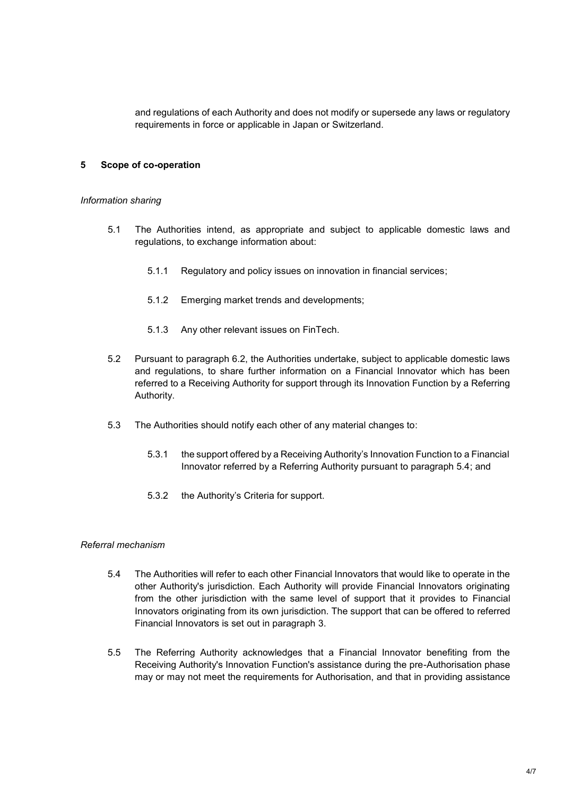and regulations of each Authority and does not modify or supersede any laws or regulatory requirements in force or applicable in Japan or Switzerland.

# **5 Scope of co-operation**

#### *Information sharing*

- 5.1 The Authorities intend, as appropriate and subject to applicable domestic laws and regulations, to exchange information about:
	- 5.1.1 Regulatory and policy issues on innovation in financial services;
	- 5.1.2 Emerging market trends and developments;
	- 5.1.3 Any other relevant issues on FinTech.
- 5.2 Pursuant to paragraph 6.2, the Authorities undertake, subject to applicable domestic laws and regulations, to share further information on a Financial Innovator which has been referred to a Receiving Authority for support through its Innovation Function by a Referring Authority.
- 5.3 The Authorities should notify each other of any material changes to:
	- 5.3.1 the support offered by a Receiving Authority's Innovation Function to a Financial Innovator referred by a Referring Authority pursuant to paragraph 5.4; and
	- 5.3.2 the Authority's Criteria for support.

### *Referral mechanism*

- 5.4 The Authorities will refer to each other Financial Innovators that would like to operate in the other Authority's jurisdiction. Each Authority will provide Financial Innovators originating from the other jurisdiction with the same level of support that it provides to Financial Innovators originating from its own jurisdiction. The support that can be offered to referred Financial Innovators is set out in paragraph 3.
- 5.5 The Referring Authority acknowledges that a Financial Innovator benefiting from the Receiving Authority's Innovation Function's assistance during the pre-Authorisation phase may or may not meet the requirements for Authorisation, and that in providing assistance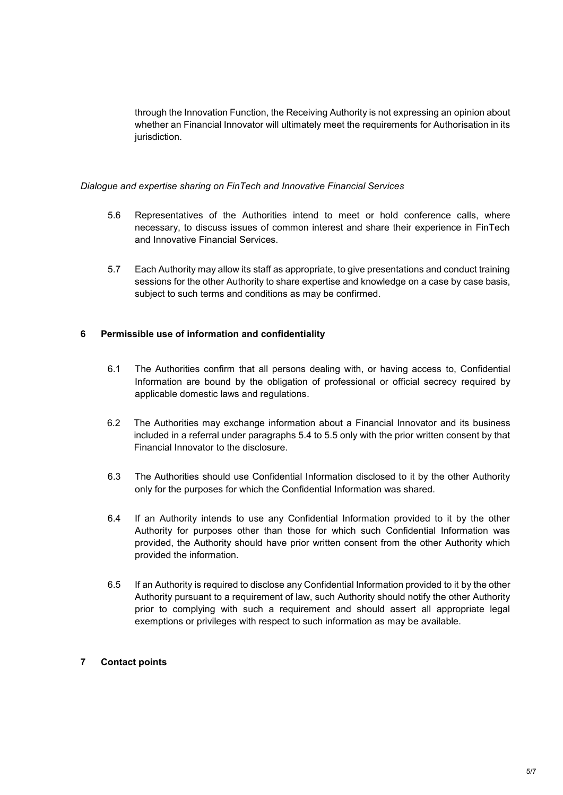through the Innovation Function, the Receiving Authority is not expressing an opinion about whether an Financial Innovator will ultimately meet the requirements for Authorisation in its jurisdiction.

#### *Dialogue and expertise sharing on FinTech and Innovative Financial Services*

- 5.6 Representatives of the Authorities intend to meet or hold conference calls, where necessary, to discuss issues of common interest and share their experience in FinTech and Innovative Financial Services.
- 5.7 Each Authority may allow its staff as appropriate, to give presentations and conduct training sessions for the other Authority to share expertise and knowledge on a case by case basis, subject to such terms and conditions as may be confirmed.

### **6 Permissible use of information and confidentiality**

- 6.1 The Authorities confirm that all persons dealing with, or having access to, Confidential Information are bound by the obligation of professional or official secrecy required by applicable domestic laws and regulations.
- 6.2 The Authorities may exchange information about a Financial Innovator and its business included in a referral under paragraphs 5.4 to 5.5 only with the prior written consent by that Financial Innovator to the disclosure.
- 6.3 The Authorities should use Confidential Information disclosed to it by the other Authority only for the purposes for which the Confidential Information was shared.
- 6.4 If an Authority intends to use any Confidential Information provided to it by the other Authority for purposes other than those for which such Confidential Information was provided, the Authority should have prior written consent from the other Authority which provided the information.
- 6.5 If an Authority is required to disclose any Confidential Information provided to it by the other Authority pursuant to a requirement of law, such Authority should notify the other Authority prior to complying with such a requirement and should assert all appropriate legal exemptions or privileges with respect to such information as may be available.

### **7 Contact points**